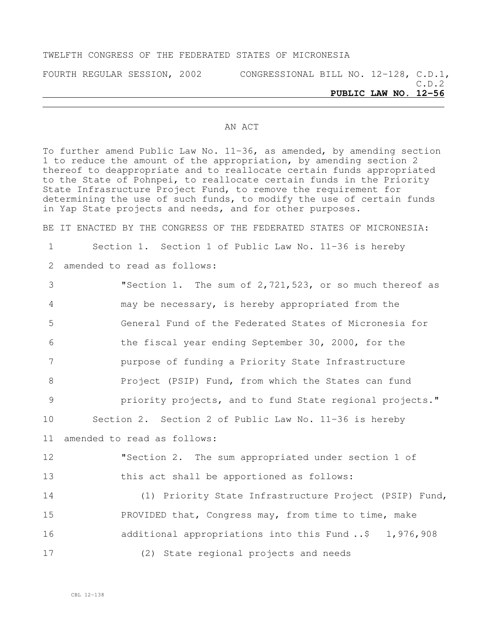#### TWELFTH CONGRESS OF THE FEDERATED STATES OF MICRONESIA

FOURTH REGULAR SESSION, 2002 CONGRESSIONAL BILL NO. 12-128, C.D.1, C.D.2 **PUBLIC LAW NO. 12-56**

#### AN ACT

To further amend Public Law No. 11-36, as amended, by amending section 1 to reduce the amount of the appropriation, by amending section 2 thereof to deappropriate and to reallocate certain funds appropriated to the State of Pohnpei, to reallocate certain funds in the Priority State Infrasructure Project Fund, to remove the requirement for determining the use of such funds, to modify the use of certain funds in Yap State projects and needs, and for other purposes.

BE IT ENACTED BY THE CONGRESS OF THE FEDERATED STATES OF MICRONESIA:

1 Section 1. Section 1 of Public Law No. 11-36 is hereby

2 amended to read as follows:

 "Section 1. The sum of 2,721,523, or so much thereof as may be necessary, is hereby appropriated from the General Fund of the Federated States of Micronesia for the fiscal year ending September 30, 2000, for the purpose of funding a Priority State Infrastructure **Project (PSIP)** Fund, from which the States can fund **priority projects, and to fund State regional projects.**" Section 2. Section 2 of Public Law No. 11-36 is hereby amended to read as follows: "Section 2. The sum appropriated under section 1 of this act shall be apportioned as follows: (1) Priority State Infrastructure Project (PSIP) Fund, 15 PROVIDED that, Congress may, from time to time, make 16 additional appropriations into this Fund ..\$ 1,976,908

17 (2) State regional projects and needs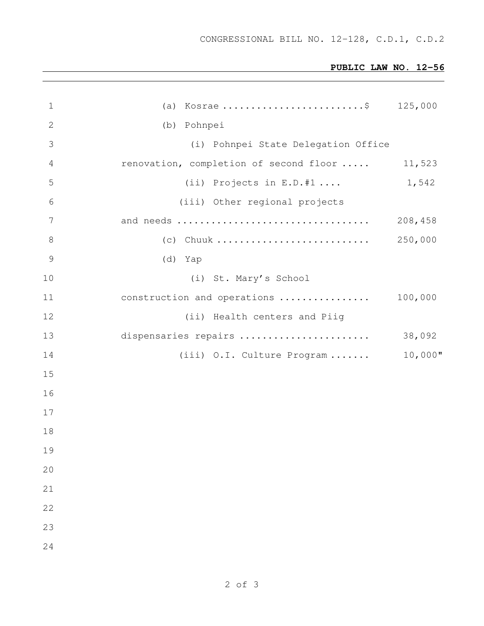# **PUBLIC LAW NO. 12-56**

|                               | 125,000                                                                                                                                                     |
|-------------------------------|-------------------------------------------------------------------------------------------------------------------------------------------------------------|
| (b) Pohnpei                   |                                                                                                                                                             |
|                               |                                                                                                                                                             |
|                               | 11,523                                                                                                                                                      |
| (ii) Projects in $E.D.*1$     | 1,542                                                                                                                                                       |
| (iii) Other regional projects |                                                                                                                                                             |
|                               | 208,458                                                                                                                                                     |
|                               | 250,000                                                                                                                                                     |
| (d) Yap                       |                                                                                                                                                             |
| (i) St. Mary's School         |                                                                                                                                                             |
|                               | 100,000                                                                                                                                                     |
| (ii) Health centers and Piig  |                                                                                                                                                             |
| dispensaries repairs          | 38,092                                                                                                                                                      |
|                               | $10,000$ "                                                                                                                                                  |
|                               |                                                                                                                                                             |
|                               |                                                                                                                                                             |
|                               |                                                                                                                                                             |
|                               |                                                                                                                                                             |
|                               |                                                                                                                                                             |
|                               |                                                                                                                                                             |
|                               |                                                                                                                                                             |
|                               |                                                                                                                                                             |
|                               |                                                                                                                                                             |
|                               |                                                                                                                                                             |
|                               | (a) Kosrae \$<br>(i) Pohnpei State Delegation Office<br>renovation, completion of second floor<br>construction and operations<br>(iii) O.I. Culture Program |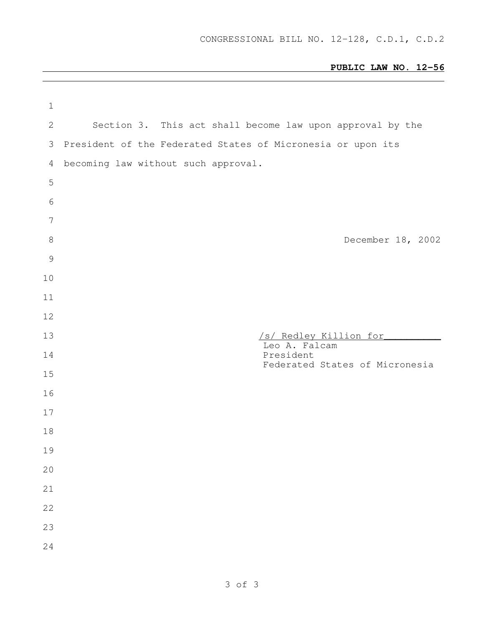# **PUBLIC LAW NO. 12-56**

| $\mathbf 1$     |                                                             |
|-----------------|-------------------------------------------------------------|
| $\mathbf{2}$    | Section 3. This act shall become law upon approval by the   |
| 3               | President of the Federated States of Micronesia or upon its |
| 4               | becoming law without such approval.                         |
| 5               |                                                             |
| 6               |                                                             |
| $7\phantom{.0}$ |                                                             |
| $8\,$           | December 18, 2002                                           |
| $\mathcal{G}$   |                                                             |
| 10              |                                                             |
| 11              |                                                             |
| 12              |                                                             |
| 13              | /s/ Redley Killion for                                      |
| 14              | Leo A. Falcam<br>President                                  |
| 15              | Federated States of Micronesia                              |
| 16              |                                                             |
| 17              |                                                             |
| 18              |                                                             |
| 19              |                                                             |
| 20              |                                                             |
| 21              |                                                             |
| 22              |                                                             |
| 23              |                                                             |
| 24              |                                                             |